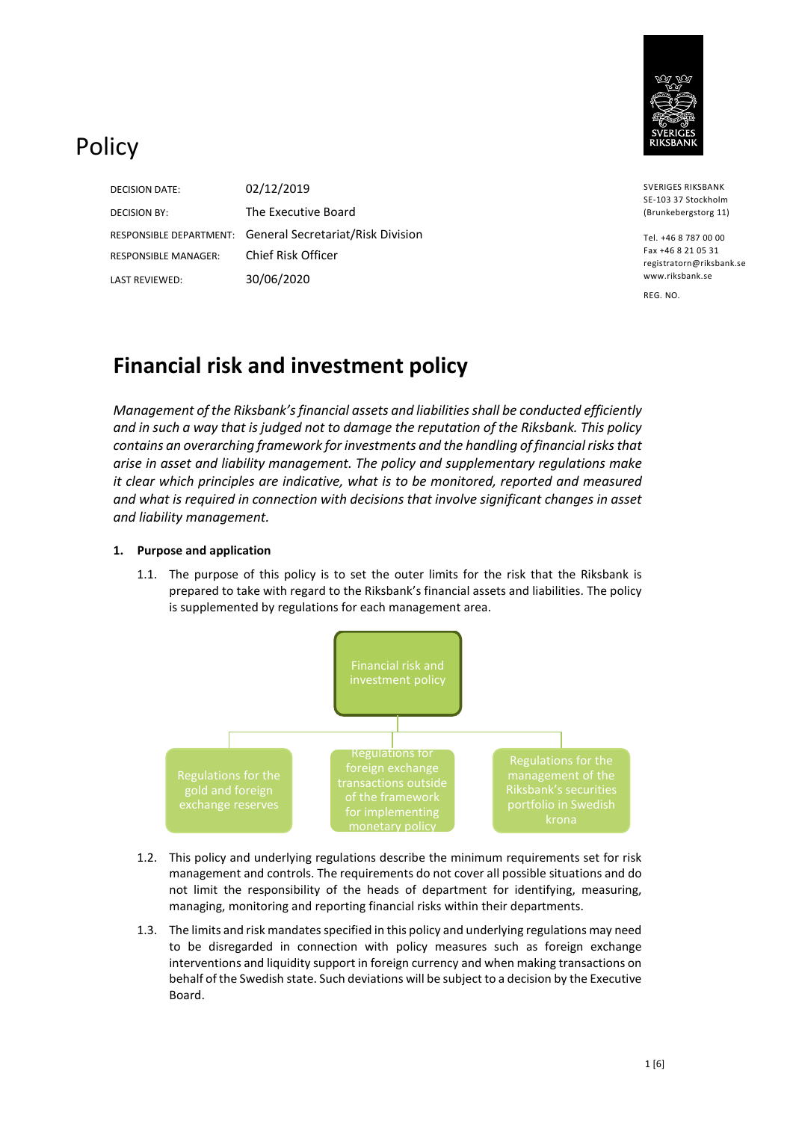

# Policy

DECISION DATE: 02/12/2019 DECISION BY: The Executive Board RESPONSIBLE MANAGER: Chief Risk Officer LAST REVIEWED: 30/06/2020

RESPONSIBLE DEPARTMENT: General Secretariat/Risk Division

SVERIGES RIKSBANK SE-103 37 Stockholm (Brunkebergstorg 11)

Tel. +46 8 787 00 00 Fax +46 8 21 05 31 registratorn@riksbank.se www.riksbank.se

REG. NO.

## **Financial risk and investment policy**

*Management of the Riksbank's financial assets and liabilities shall be conducted efficiently and in such a way that is judged not to damage the reputation of the Riksbank. This policy contains an overarching framework for investments and the handling of financial risks that arise in asset and liability management. The policy and supplementary regulations make it clear which principles are indicative, what is to be monitored, reported and measured and what is required in connection with decisions that involve significant changes in asset and liability management.*

### **1. Purpose and application**

1.1. The purpose of this policy is to set the outer limits for the risk that the Riksbank is prepared to take with regard to the Riksbank's financial assets and liabilities. The policy is supplemented by regulations for each management area.



- 1.2. This policy and underlying regulations describe the minimum requirements set for risk management and controls. The requirements do not cover all possible situations and do not limit the responsibility of the heads of department for identifying, measuring, managing, monitoring and reporting financial risks within their departments.
- 1.3. The limits and risk mandates specified in this policy and underlying regulations may need to be disregarded in connection with policy measures such as foreign exchange interventions and liquidity support in foreign currency and when making transactions on behalf of the Swedish state. Such deviations will be subject to a decision by the Executive Board.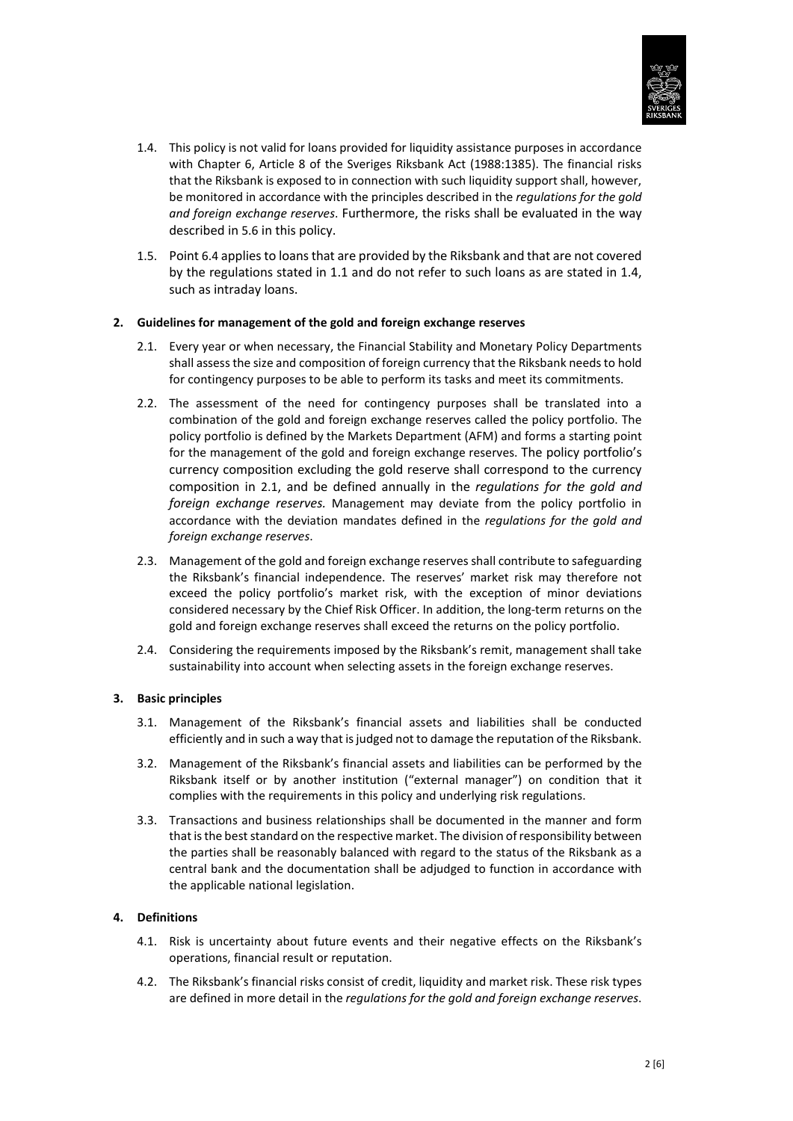

- 1.4. This policy is not valid for loans provided for liquidity assistance purposes in accordance with Chapter 6, Article 8 of the Sveriges Riksbank Act (1988:1385). The financial risks that the Riksbank is exposed to in connection with such liquidity support shall, however, be monitored in accordance with the principles described in the *regulations for the gold and foreign exchange reserves*. Furthermore, the risks shall be evaluated in the way described i[n 5.6](#page-2-0) in this policy.
- 1.5. Poin[t 6.4](#page-2-1) applies to loans that are provided by the Riksbank and that are not covered by the regulations stated in 1.1 and do not refer to such loans as are stated in 1.4, such as intraday loans.

#### <span id="page-1-0"></span>**2. Guidelines for management of the gold and foreign exchange reserves**

- 2.1. Every year or when necessary, the Financial Stability and Monetary Policy Departments shall assess the size and composition of foreign currency that the Riksbank needs to hold for contingency purposes to be able to perform its tasks and meet its commitments.
- 2.2. The assessment of the need for contingency purposes shall be translated into a combination of the gold and foreign exchange reserves called the policy portfolio. The policy portfolio is defined by the Markets Department (AFM) and forms a starting point for the management of the gold and foreign exchange reserves. The policy portfolio's currency composition excluding the gold reserve shall correspond to the currency composition in [2.1,](#page-1-0) and be defined annually in the *regulations for the gold and foreign exchange reserves.* Management may deviate from the policy portfolio in accordance with the deviation mandates defined in the *regulations for the gold and foreign exchange reserves*.
- 2.3. Management of the gold and foreign exchange reserves shall contribute to safeguarding the Riksbank's financial independence. The reserves' market risk may therefore not exceed the policy portfolio's market risk, with the exception of minor deviations considered necessary by the Chief Risk Officer. In addition, the long-term returns on the gold and foreign exchange reserves shall exceed the returns on the policy portfolio.
- 2.4. Considering the requirements imposed by the Riksbank's remit, management shall take sustainability into account when selecting assets in the foreign exchange reserves.

#### **3. Basic principles**

- 3.1. Management of the Riksbank's financial assets and liabilities shall be conducted efficiently and in such a way that is judged not to damage the reputation of the Riksbank.
- 3.2. Management of the Riksbank's financial assets and liabilities can be performed by the Riksbank itself or by another institution ("external manager") on condition that it complies with the requirements in this policy and underlying risk regulations.
- 3.3. Transactions and business relationships shall be documented in the manner and form that is the best standard on the respective market. The division of responsibility between the parties shall be reasonably balanced with regard to the status of the Riksbank as a central bank and the documentation shall be adjudged to function in accordance with the applicable national legislation.

#### **4. Definitions**

- 4.1. Risk is uncertainty about future events and their negative effects on the Riksbank's operations, financial result or reputation.
- 4.2. The Riksbank's financial risks consist of credit, liquidity and market risk. These risk types are defined in more detail in the *regulations for the gold and foreign exchange reserves*.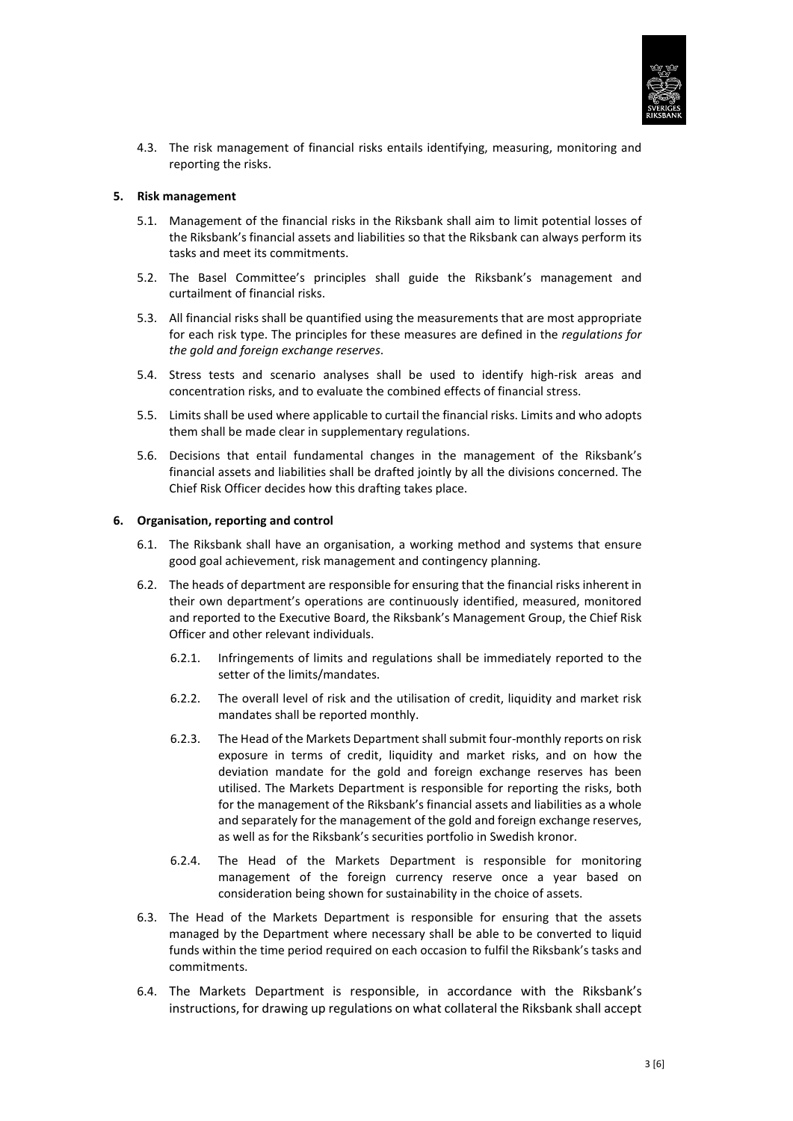

4.3. The risk management of financial risks entails identifying, measuring, monitoring and reporting the risks.

#### **5. Risk management**

- 5.1. Management of the financial risks in the Riksbank shall aim to limit potential losses of the Riksbank's financial assets and liabilities so that the Riksbank can always perform its tasks and meet its commitments.
- 5.2. The Basel Committee's principles shall guide the Riksbank's management and curtailment of financial risks.
- 5.3. All financial risks shall be quantified using the measurements that are most appropriate for each risk type. The principles for these measures are defined in the *regulations for the gold and foreign exchange reserves*.
- 5.4. Stress tests and scenario analyses shall be used to identify high-risk areas and concentration risks, and to evaluate the combined effects of financial stress.
- 5.5. Limits shall be used where applicable to curtail the financial risks. Limits and who adopts them shall be made clear in supplementary regulations.
- <span id="page-2-0"></span>5.6. Decisions that entail fundamental changes in the management of the Riksbank's financial assets and liabilities shall be drafted jointly by all the divisions concerned. The Chief Risk Officer decides how this drafting takes place.

#### **6. Organisation, reporting and control**

- 6.1. The Riksbank shall have an organisation, a working method and systems that ensure good goal achievement, risk management and contingency planning.
- 6.2. The heads of department are responsible for ensuring that the financial risks inherent in their own department's operations are continuously identified, measured, monitored and reported to the Executive Board, the Riksbank's Management Group, the Chief Risk Officer and other relevant individuals.
	- 6.2.1. Infringements of limits and regulations shall be immediately reported to the setter of the limits/mandates.
	- 6.2.2. The overall level of risk and the utilisation of credit, liquidity and market risk mandates shall be reported monthly.
	- 6.2.3. The Head of the Markets Department shall submit four-monthly reports on risk exposure in terms of credit, liquidity and market risks, and on how the deviation mandate for the gold and foreign exchange reserves has been utilised. The Markets Department is responsible for reporting the risks, both for the management of the Riksbank's financial assets and liabilities as a whole and separately for the management of the gold and foreign exchange reserves, as well as for the Riksbank's securities portfolio in Swedish kronor.
	- 6.2.4. The Head of the Markets Department is responsible for monitoring management of the foreign currency reserve once a year based on consideration being shown for sustainability in the choice of assets.
- 6.3. The Head of the Markets Department is responsible for ensuring that the assets managed by the Department where necessary shall be able to be converted to liquid funds within the time period required on each occasion to fulfil the Riksbank's tasks and commitments.
- <span id="page-2-1"></span>6.4. The Markets Department is responsible, in accordance with the Riksbank's instructions, for drawing up regulations on what collateral the Riksbank shall accept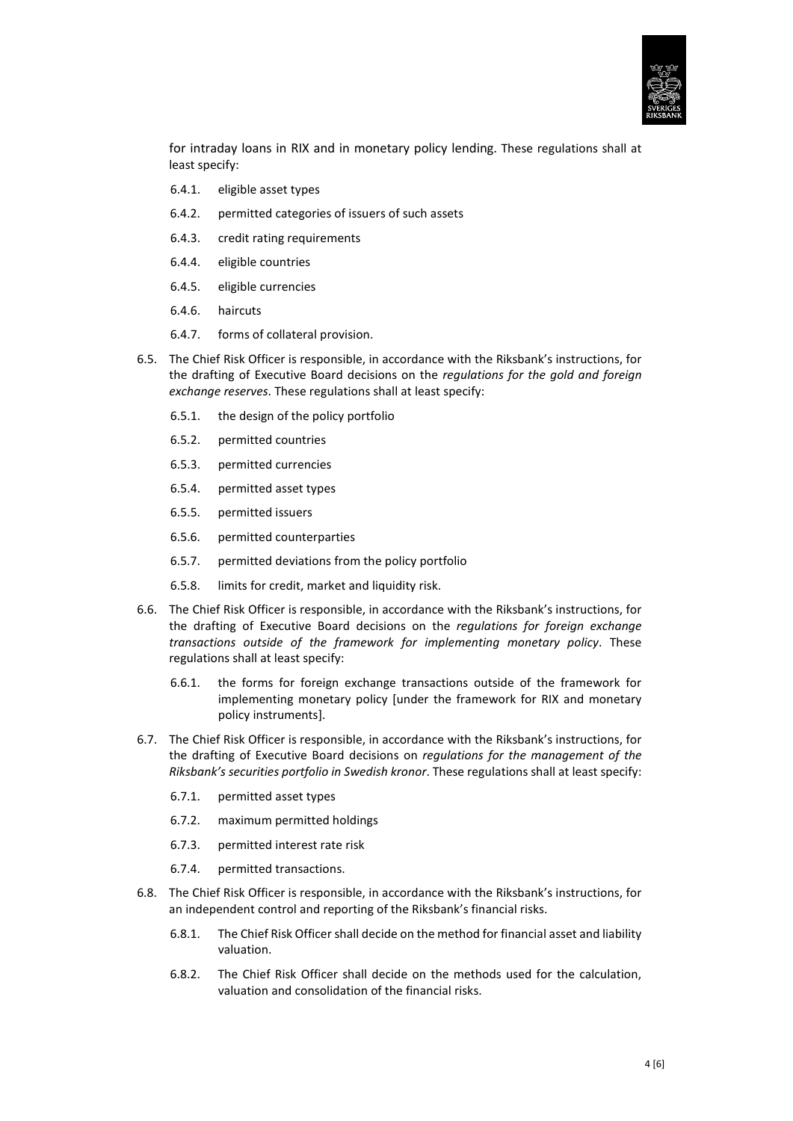

for intraday loans in RIX and in monetary policy lending. These regulations shall at least specify:

- 6.4.1. eligible asset types
- 6.4.2. permitted categories of issuers of such assets
- 6.4.3. credit rating requirements
- 6.4.4. eligible countries
- 6.4.5. eligible currencies
- 6.4.6. haircuts
- 6.4.7. forms of collateral provision.
- 6.5. The Chief Risk Officer is responsible, in accordance with the Riksbank's instructions, for the drafting of Executive Board decisions on the *regulations for the gold and foreign exchange reserves*. These regulations shall at least specify:
	- 6.5.1. the design of the policy portfolio
	- 6.5.2. permitted countries
	- 6.5.3. permitted currencies
	- 6.5.4. permitted asset types
	- 6.5.5. permitted issuers
	- 6.5.6. permitted counterparties
	- 6.5.7. permitted deviations from the policy portfolio
	- 6.5.8. limits for credit, market and liquidity risk.
- 6.6. The Chief Risk Officer is responsible, in accordance with the Riksbank's instructions, for the drafting of Executive Board decisions on the *regulations for foreign exchange transactions outside of the framework for implementing monetary policy*. These regulations shall at least specify:
	- 6.6.1. the forms for foreign exchange transactions outside of the framework for implementing monetary policy [under the framework for RIX and monetary policy instruments].
- 6.7. The Chief Risk Officer is responsible, in accordance with the Riksbank's instructions, for the drafting of Executive Board decisions on *regulations for the management of the Riksbank's securities portfolio in Swedish kronor*. These regulations shall at least specify:
	- 6.7.1. permitted asset types
	- 6.7.2. maximum permitted holdings
	- 6.7.3. permitted interest rate risk
	- 6.7.4. permitted transactions.
- 6.8. The Chief Risk Officer is responsible, in accordance with the Riksbank's instructions, for an independent control and reporting of the Riksbank's financial risks.
	- 6.8.1. The Chief Risk Officer shall decide on the method for financial asset and liability valuation.
	- 6.8.2. The Chief Risk Officer shall decide on the methods used for the calculation, valuation and consolidation of the financial risks.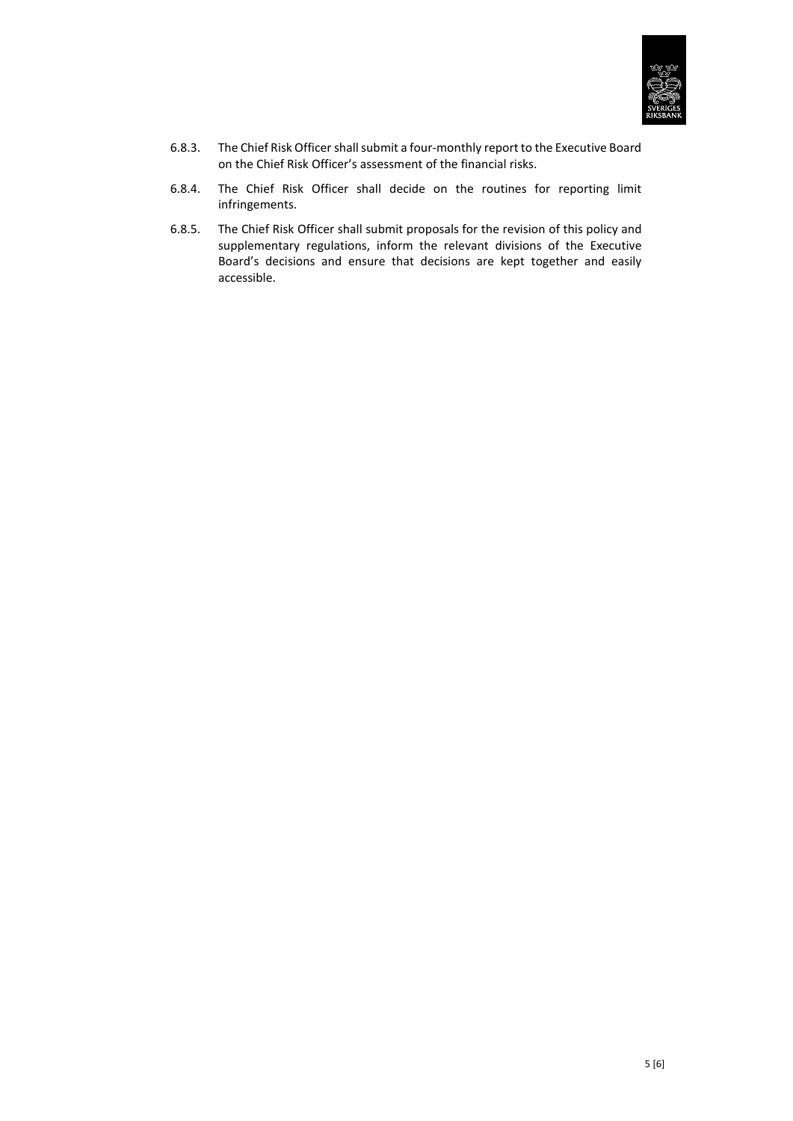

- 6.8.3. The Chief Risk Officer shall submit a four-monthly report to the Executive Board on the Chief Risk Officer's assessment of the financial risks.
- 6.8.4. The Chief Risk Officer shall decide on the routines for reporting limit infringements.
- 6.8.5. The Chief Risk Officer shall submit proposals for the revision of this policy and supplementary regulations, inform the relevant divisions of the Executive Board's decisions and ensure that decisions are kept together and easily accessible.